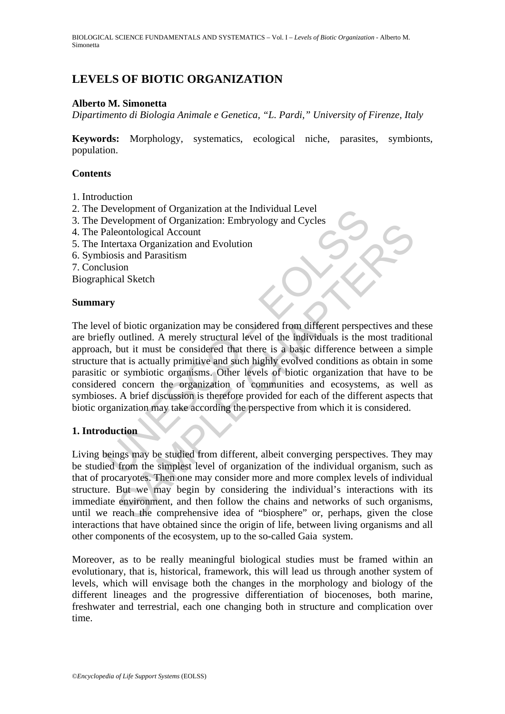# **LEVELS OF BIOTIC ORGANIZATION**

#### **Alberto M. Simonetta**

*Dipartimento di Biologia Animale e Genetica, "L. Pardi," University of Firenze, Italy* 

**Keywords:** Morphology, systematics, ecological niche, parasites, symbionts, population.

#### **Contents**

- 1. Introduction
- 2. The Development of Organization at the Individual Level
- 3. The Development of Organization: Embryology and Cycles
- 4. The Paleontological Account
- 5. The Intertaxa Organization and Evolution
- 6. Symbiosis and Parasitism
- 7. Conclusion
- Biographical Sketch

#### **Summary**

Development of Organization at the Individual Level<br>Development of Organization: Embryology and Cycles<br>Paleontological Account<br>ntertaxa Organization and Evolution<br>iosis and Parasitism<br>lusion<br>whical Sketch<br>withing a Sketch<br> coppenent of Organization and Evolution<br>contological Account<br>traxa Organization and Evolution<br>is and Parasitism<br>al Sketch<br>al Sketch<br>al Sketch<br>of biotic organization may be considered from different perspectives and the<br>out The level of biotic organization may be considered from different perspectives and these are briefly outlined. A merely structural level of the individuals is the most traditional approach, but it must be considered that there is a basic difference between a simple structure that is actually primitive and such highly evolved conditions as obtain in some parasitic or symbiotic organisms. Other levels of biotic organization that have to be considered concern the organization of communities and ecosystems, as well as symbioses. A brief discussion is therefore provided for each of the different aspects that biotic organization may take according the perspective from which it is considered.

## **1. Introduction**

Living beings may be studied from different, albeit converging perspectives. They may be studied from the simplest level of organization of the individual organism, such as that of procaryotes. Then one may consider more and more complex levels of individual structure. But we may begin by considering the individual's interactions with its immediate environment, and then follow the chains and networks of such organisms, until we reach the comprehensive idea of "biosphere" or, perhaps, given the close interactions that have obtained since the origin of life, between living organisms and all other components of the ecosystem, up to the so-called Gaia system.

Moreover, as to be really meaningful biological studies must be framed within an evolutionary, that is, historical, framework, this will lead us through another system of levels, which will envisage both the changes in the morphology and biology of the different lineages and the progressive differentiation of biocenoses, both marine, freshwater and terrestrial, each one changing both in structure and complication over time.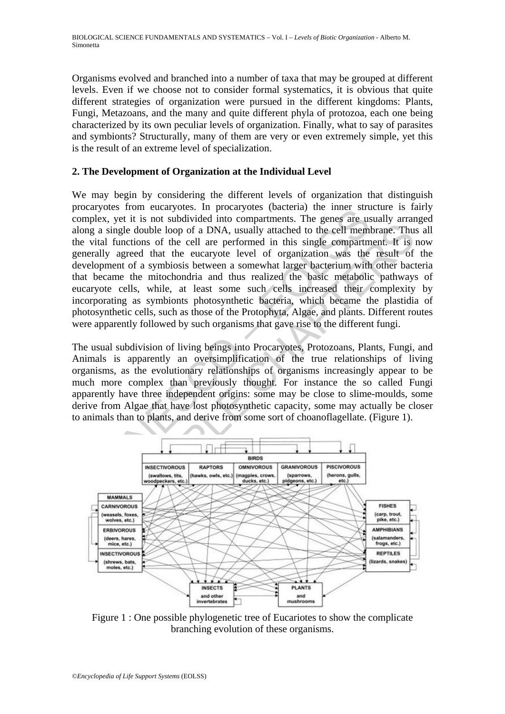Organisms evolved and branched into a number of taxa that may be grouped at different levels. Even if we choose not to consider formal systematics, it is obvious that quite different strategies of organization were pursued in the different kingdoms: Plants, Fungi, Metazoans, and the many and quite different phyla of protozoa, each one being characterized by its own peculiar levels of organization. Finally, what to say of parasites and symbionts? Structurally, many of them are very or even extremely simple, yet this is the result of an extreme level of specialization.

## **2. The Development of Organization at the Individual Level**

The meat stream and the stream and the stream and the stream and the meat stream and the stream and the stream and the stream and the cell members of the cell are performed in this single compartments. The genes are usingl THE UNION TO THE THE MANUATURE CONSULTED THE MANUATURE OF THE MANUATURE ON THE MANUATURE OF THE MANUATURE OF CHAPTERS AND THE MANUATURE OF THE MANUATURE OF CHAPTER OF CHAPTER OF CHAPTER OF CHAPTER OF CHAPTER OF CHAPTER OF We may begin by considering the different levels of organization that distinguish procaryotes from eucaryotes. In procaryotes (bacteria) the inner structure is fairly complex, yet it is not subdivided into compartments. The genes are usually arranged along a single double loop of a DNA, usually attached to the cell membrane. Thus all the vital functions of the cell are performed in this single compartment. It is now generally agreed that the eucaryote level of organization was the result of the development of a symbiosis between a somewhat larger bacterium with other bacteria that became the mitochondria and thus realized the basic metabolic pathways of eucaryote cells, while, at least some such cells increased their complexity by incorporating as symbionts photosynthetic bacteria, which became the plastidia of photosynthetic cells, such as those of the Protophyta, Algae, and plants. Different routes were apparently followed by such organisms that gave rise to the different fungi.

The usual subdivision of living beings into Procaryotes, Protozoans, Plants, Fungi, and Animals is apparently an oversimplification of the true relationships of living organisms, as the evolutionary relationships of organisms increasingly appear to be much more complex than previously thought. For instance the so called Fungi apparently have three independent origins: some may be close to slime-moulds, some derive from Algae that have lost photosynthetic capacity, some may actually be closer to animals than to plants, and derive from some sort of choanoflagellate. (Figure 1).



Figure 1 : One possible phylogenetic tree of Eucariotes to show the complicate branching evolution of these organisms.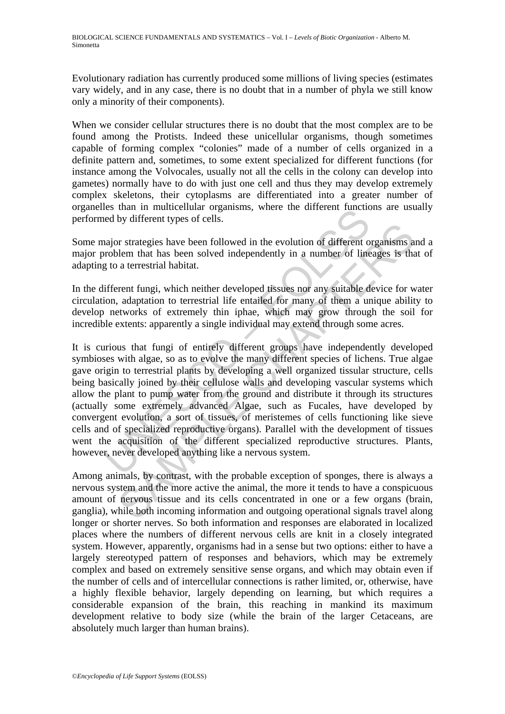Evolutionary radiation has currently produced some millions of living species (estimates vary widely, and in any case, there is no doubt that in a number of phyla we still know only a minority of their components).

When we consider cellular structures there is no doubt that the most complex are to be found among the Protists. Indeed these unicellular organisms, though sometimes capable of forming complex "colonies" made of a number of cells organized in a definite pattern and, sometimes, to some extent specialized for different functions (for instance among the Volvocales, usually not all the cells in the colony can develop into gametes) normally have to do with just one cell and thus they may develop extremely complex skeletons, their cytoplasms are differentiated into a greater number of organelles than in multicellular organisms, where the different functions are usually performed by different types of cells.

Some major strategies have been followed in the evolution of different organisms and a major problem that has been solved independently in a number of lineages is that of adapting to a terrestrial habitat.

In the different fungi, which neither developed tissues nor any suitable device for water circulation, adaptation to terrestrial life entailed for many of them a unique ability to develop networks of extremely thin iphae, which may grow through the soil for incredible extents: apparently a single individual may extend through some acres.

is than in indirectional organisms, where the unterest random<br>and the state of the state of cells.<br>and the state of the state of the state of the state of the state of the<br>distribution that has been solved independently in Let the show that has been followed in the evolution of different organisms a<br>lem that has been solved independently in a number of lineages is the<br>a terrestrial habitat.<br>The a terrestrial habitat.<br>The a terrestrial life e It is curious that fungi of entirely different groups have independently developed symbioses with algae, so as to evolve the many different species of lichens. True algae gave origin to terrestrial plants by developing a well organized tissular structure, cells being basically joined by their cellulose walls and developing vascular systems which allow the plant to pump water from the ground and distribute it through its structures (actually some extremely advanced Algae, such as Fucales, have developed by convergent evolution, a sort of tissues, of meristemes of cells functioning like sieve cells and of specialized reproductive organs). Parallel with the development of tissues went the acquisition of the different specialized reproductive structures. Plants, however, never developed anything like a nervous system.

Among animals, by contrast, with the probable exception of sponges, there is always a nervous system and the more active the animal, the more it tends to have a conspicuous amount of nervous tissue and its cells concentrated in one or a few organs (brain, ganglia), while both incoming information and outgoing operational signals travel along longer or shorter nerves. So both information and responses are elaborated in localized places where the numbers of different nervous cells are knit in a closely integrated system. However, apparently, organisms had in a sense but two options: either to have a largely stereotyped pattern of responses and behaviors, which may be extremely complex and based on extremely sensitive sense organs, and which may obtain even if the number of cells and of intercellular connections is rather limited, or, otherwise, have a highly flexible behavior, largely depending on learning, but which requires a considerable expansion of the brain, this reaching in mankind its maximum development relative to body size (while the brain of the larger Cetaceans, are absolutely much larger than human brains).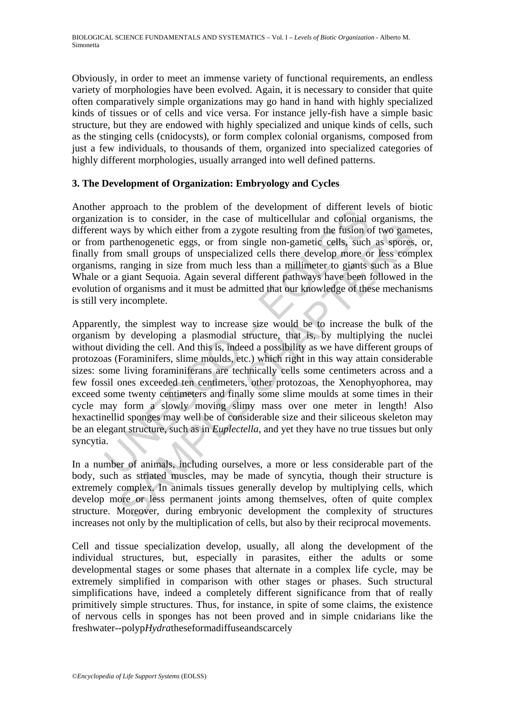Obviously, in order to meet an immense variety of functional requirements, an endless variety of morphologies have been evolved. Again, it is necessary to consider that quite often comparatively simple organizations may go hand in hand with highly specialized kinds of tissues or of cells and vice versa. For instance jelly-fish have a simple basic structure, but they are endowed with highly specialized and unique kinds of cells, such as the stinging cells (cnidocysts), or form complex colonial organisms, composed from just a few individuals, to thousands of them, organized into specialized categories of highly different morphologies, usually arranged into well defined patterns.

## **3. The Development of Organization: Embryology and Cycles**

Another approach to the problem of the development of different levels of biotic organization is to consider, in the case of multicellular and colonial organisms, the different ways by which either from a zygote resulting from the fusion of two gametes, or from parthenogenetic eggs, or from single non-gametic cells, such as spores, or, finally from small groups of unspecialized cells there develop more or less complex organisms, ranging in size from much less than a millimeter to giants such as a Blue Whale or a giant Sequoia. Again several different pathways have been followed in the evolution of organisms and it must be admitted that our knowledge of these mechanisms is still very incomplete.

apposar to the problem of the cover of the development of the consider, and to onsider, in the case of multicellular and colonial t ways by which either from a zygote resulting from the fusion of parthenogenetic eggs, or f ays by which either from a zygote resulting from the fusion of two game<br>tribenogenetic eggs, or from single non-gametic cells, such as spores<br>arthenogenetic eggs, or from single non-gametic cells, such as spores<br>aranying i Apparently, the simplest way to increase size would be to increase the bulk of the organism by developing a plasmodial structure, that is, by multiplying the nuclei without dividing the cell. And this is, indeed a possibility as we have different groups of protozoas (Foraminifers, slime moulds, etc.) which right in this way attain considerable sizes: some living foraminiferans are technically cells some centimeters across and a few fossil ones exceeded ten centimeters, other protozoas, the Xenophyophorea, may exceed some twenty centimeters and finally some slime moulds at some times in their cycle may form a slowly moving slimy mass over one meter in length! Also hexactinellid sponges may well be of considerable size and their siliceous skeleton may be an elegant structure, such as in *Euplectella*, and yet they have no true tissues but only syncytia.

In a number of animals, including ourselves, a more or less considerable part of the body, such as striated muscles, may be made of syncytia, though their structure is extremely complex. In animals tissues generally develop by multiplying cells, which develop more or less permanent joints among themselves, often of quite complex structure. Moreover, during embryonic development the complexity of structures increases not only by the multiplication of cells, but also by their reciprocal movements.

Cell and tissue specialization develop, usually, all along the development of the individual structures, but, especially in parasites, either the adults or some developmental stages or some phases that alternate in a complex life cycle, may be extremely simplified in comparison with other stages or phases. Such structural simplifications have, indeed a completely different significance from that of really primitively simple structures. Thus, for instance, in spite of some claims, the existence of nervous cells in sponges has not been proved and in simple cnidarians like the freshwater--polyp*Hydra*theseformadiffuseandscarcely